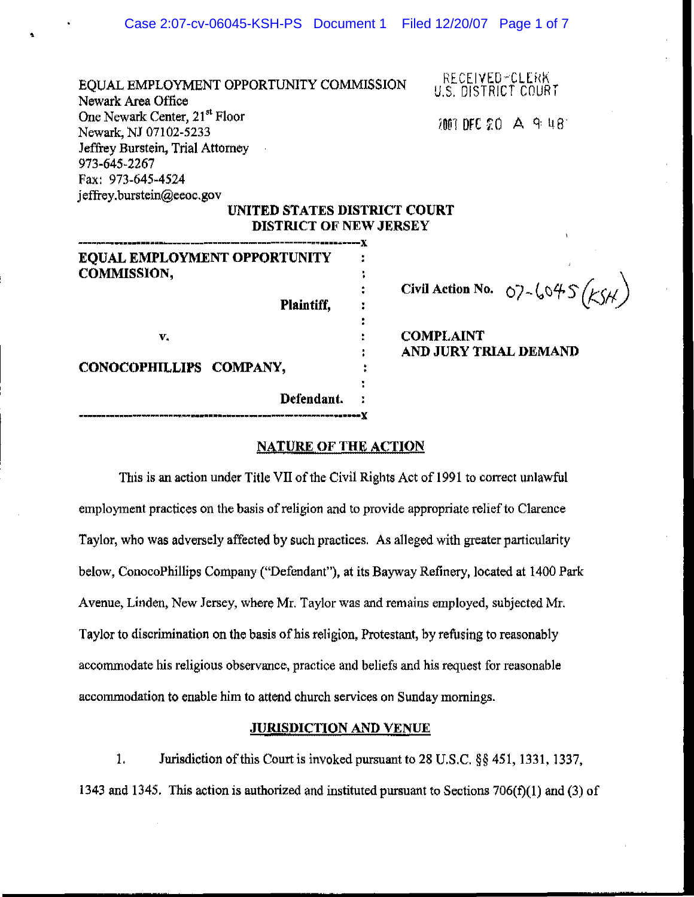EQUAL EMPLOYMENT OPPORTUNITY COMMISSION Newark Area Office One Newark Center, 21<sup>st</sup> Floor Newark, Nl 07102-5233 Jeffrey Burstein, Trial Attorney 973-645-2267 Fax: 973-645-4524 jeffrey.burstein@eeoc.gov

•

HECE IVED-CLERK<br>U.S. DISTRICT COURT

 $7001$  DFC  $20$  A  $9:18$ 

### UNITED STATES DISTRICT COURT DISTRICT OF NEW JERSEY

| <b>EQUAL EMPLOYMENT OPPORTUNITY</b>    |  |
|----------------------------------------|--|
|                                        |  |
|                                        |  |
| COMMISSION,<br><b>Plaintiff,</b><br>v. |  |
|                                        |  |
|                                        |  |
|                                        |  |
| CONOCOPHILLIPS COMPANY,                |  |
|                                        |  |
| Defendant.                             |  |
|                                        |  |

Civil Action No. 07-6045  $(k5)$ 

COMPLAINT AND JURY TRIAL DEMAND

#### NATURE OF THE ACTION

This is an action under Title VII of the Civil Rights Act of 1991 to correct unlawful employment practices on the basis of religion and to provide appropriate relief to Clarence Taylor, who was adversely affected by such practices. As alleged with greater particularity below, ConocoPhillips Company ("Defendant"), at its Bayway Refinery, located at 1400 Park Avenue, Linden, New Jersey, where Mr. Taylor was and remains employed, subjected Mr. Taylor to discrimination on the basis of his religion, Protestant, by refusing to reasonably accommodate his religious observance, practice and beliefs and his request for reasonable accommodation to enable him to attend church services on Sunday mornings.

# JURISDICTION AND VENUE

1. Jurisdiction of this Court is invoked pursuant to 28 U.S.c. §§ 451, 1331, 1337, 1343 and 1345. This action is authorized and instituted pursuant to Sections 706(f)(1) and (3) of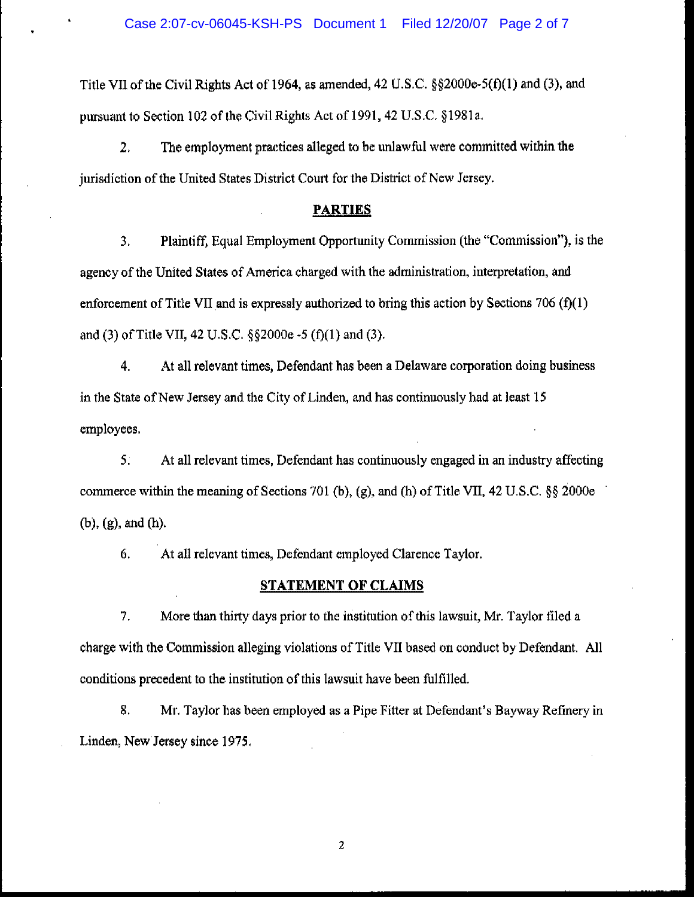Title VII of the Civil Rights Act of 1964, as amended, 42 U.S.C.  $\S$  $\S$ 2000e-5(f)(1) and (3), and pursuant to Section 102 of the Civil Rights Act of 1991, 42 U.S.C. §1981a.

2. The employment practices alleged to be unlawful were committed within the jurisdiction of the United States District Court for the District of New Jersey.

### **PARTIES**

3. Plaintiff, Equal Employment Opportunity Commission (the "Commission"), is the agency of the United States of America charged with the administration, interpretation, and enforcement of Title VII and is expressly authorized to bring this action by Sections 706  $(f)(1)$ and (3) of Title VII, 42 U.S.C.  $\S$  $\S$ 2000e -5 (f)(1) and (3).

4. At all relevant times, Defendant has been a Delaware corporation doing business in the State of New Jersey and the City of Linden, and has continuously had at least 15 employees.

5. At all relevant times, Defendant has continuously engaged in an industry affecting commerce within the meaning of Sections 701 (b), (g), and (h) of Title VII, 42 U.S.C. §§ 2000e (b), (g), and (h).

6. At all relevant times, Defendant employed Clarence Taylor.

# STATEMENT **OF** CLAIMS

7. More than thirty days prior to the institution of this lawsuit, Mr. Taylor filed a charge with the Commission alleging violations of Title VII based on conduct by Defendant. All conditions precedent to the institution of this lawsuit have been fulfilled.

8. Mr. Taylor has been employed as a Pipe Fitter at Defendant's Bayway Refmery in Linden, New Jersey since 1975.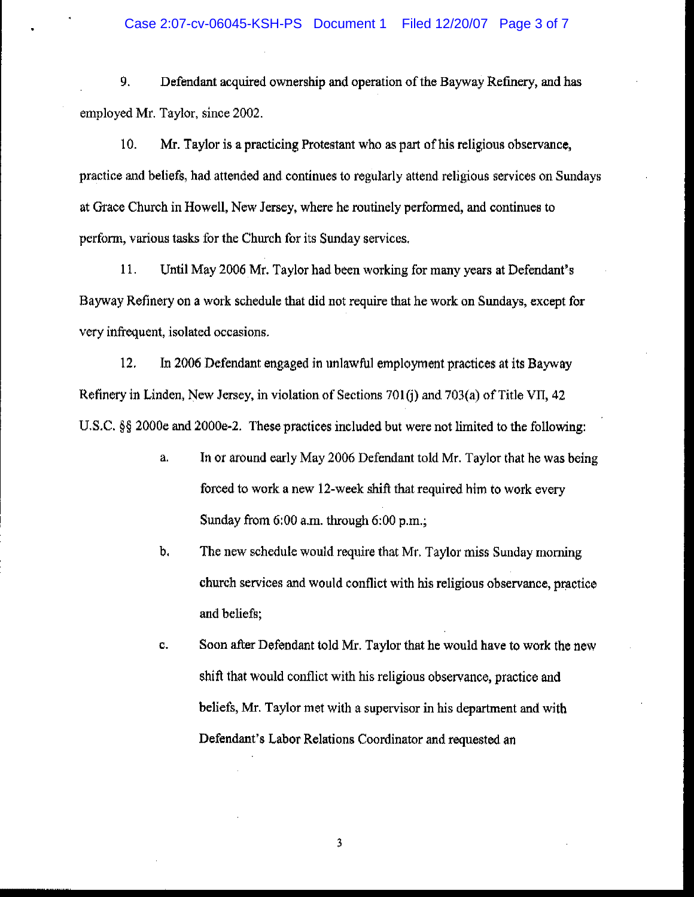9. Defendant acquired ownership and operation of the Bayway Refinery, and has employed Mr. Taylor, since 2002.

10. Mr. Taylor is a practicing Protestant who as part of his religious observance, practice and beliefs, had attended and continues to regularly attend religious services on Sundays at Grace Church in Howell, New Jersey, where he routinely performed, and continues to perform, various tasks for the Church for its Sunday services.

11. Until May 2006 Mr. Taylor had been working for many years at Defendant's Bayway Refinery on a work schedule that did not require that he work on Sundays, except for very infrequent, isolated occasions.

12. In 2006 Defendant engaged in unlawful employment practices at its Bayway Refinery in Linden, New Jersey, in violation of Sections 701(j) and 703(a) of Title VII, 42 U.S.C. §§ 2000e and 2000e-2. These practices included but were not limited to the following:

- a. In or around early May 2006 Defendant told Mr. Taylor that he was being forced to work a new 12-week shift that required him to work every Sunday from 6:00 a.m. through 6:00 p.m.;
- b. The new schedule would require that Mr. Taylor miss Sunday morning church services and would conflict with his religious observance, practice and beliefs;
- c. Soon after Defendant told Mr. Taylor that he would have to work the new shift that would conflict with his religious observance, practice and beliefs, Mr. Taylor met with a supervisor in his department and with Defendant's Labor Relations Coordinator and requested an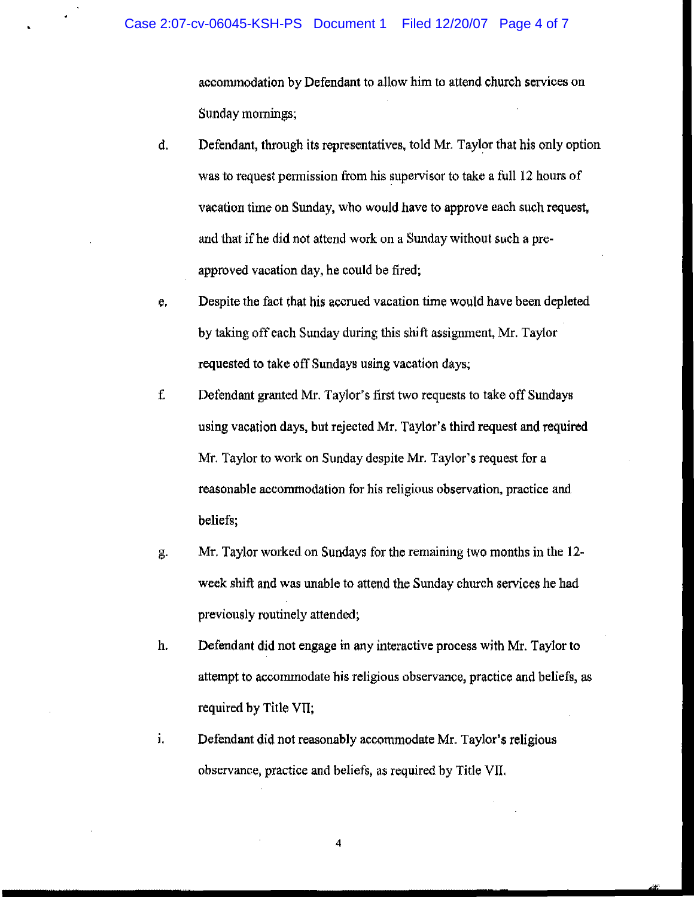accommodation by Defendant to allow him to attend church services on Sunday mornings;

- d. Defendant, through its representatives, told Mr. Taylor that his only option was to request permission from his supervisor to take a full 12 hours of vacation time on Sunday, who would have to approve each such request, and that if he did not attend work on a Sunday without such a preapproved vacation day, he could be fired;
- e. Despite the fact that his accrued vacation time would have been depleted by taking off each Sunday during this shift assigmnent, Mr. Taylor requested to take off Sundays using vacation days;
- f. Defendant granted Mr. Taylor's first two requests to take off Sundays using vacation days, but rejected Mr. Taylor's third request and required Mr. Taylor to work on Sunday despite Mr. Taylor's request for a reasonable accommodation for his religious observation, practice and beliefs;
- g. Mr. Taylor worked on Sundays for the remaining two months in the 12 week shift and was unable to attend the Sunday church services he had previously routinely attended;
- h. Defendant did not engage in any interactive process with Mr. Taylor to attempt to accommodate his religious observance, practice and beliefs, as required by Title VII;
- i. Defendant did not reasonably accommodate Mr. Taylor's religious observance, practice and beliefs, as required by Title VII.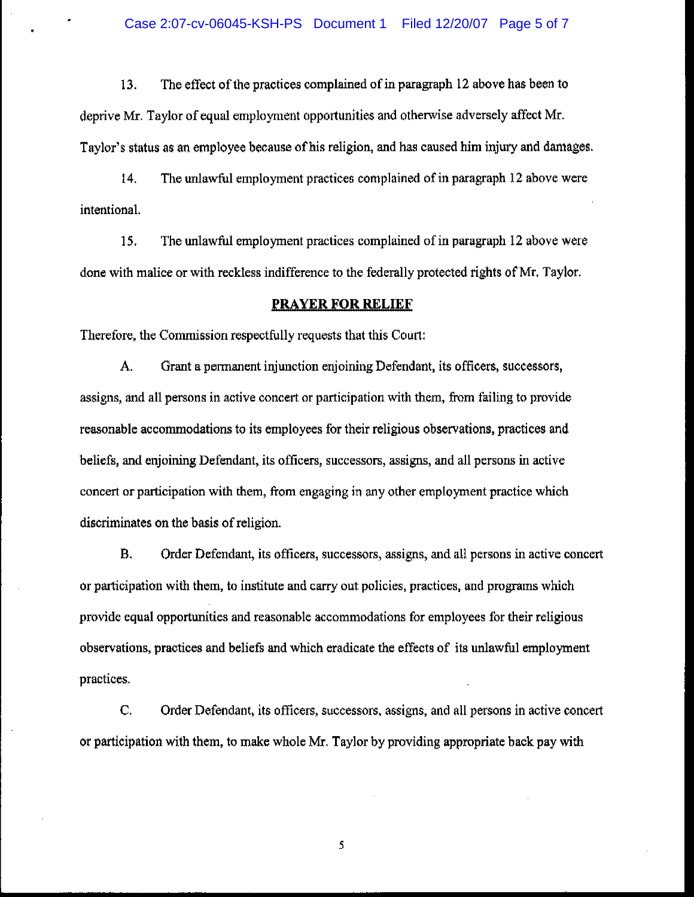13. The effect of the practices complained of in paragraph 12 above has been to deprive Mr. Taylor of equal employment opportunities and otherwise adversely affect Mr. Taylor's status as an employee because of his religion, and has caused him injury and damages.

14. The unlawful employment practices complained of in paragraph 12 above were intentional.

15. The Wllawful employment practices complained of in paragraph 12 above were done with malice or with reckless indifference to the federally protected rights of Mr. Taylor.

#### **PRAYER FOR RELIEF**

Therefore, the Commission respectfully requests that this Court:

A. Grant a permanent injunction enjoining Defendant, its officers, successors, assigns, and all persons in active concert or participation with them, from failing to provide reasonable accommodations to its employees for their religious observations, practices and beliefs, and enjoining Defendant, its officers, successors, assigns, and all persons in active concert or participation with them, from engaging in any other employment practice which discriminates on the basis of religion.

B. Order Defendant, its officers, successors, assigns, and all persons in active concert or participation with them, to institute and carry out policies, practices, and programs which provide equal opportunities and reasonable accommodations for employees for their religious observations, practices and beliefs and which eradicate the effects of its unlawful employment practices.

C. Order Defendant, its officers, successors, assigns, and all persons in active concert or participation with them, to make whole Mr. Taylor by providing appropriate back pay with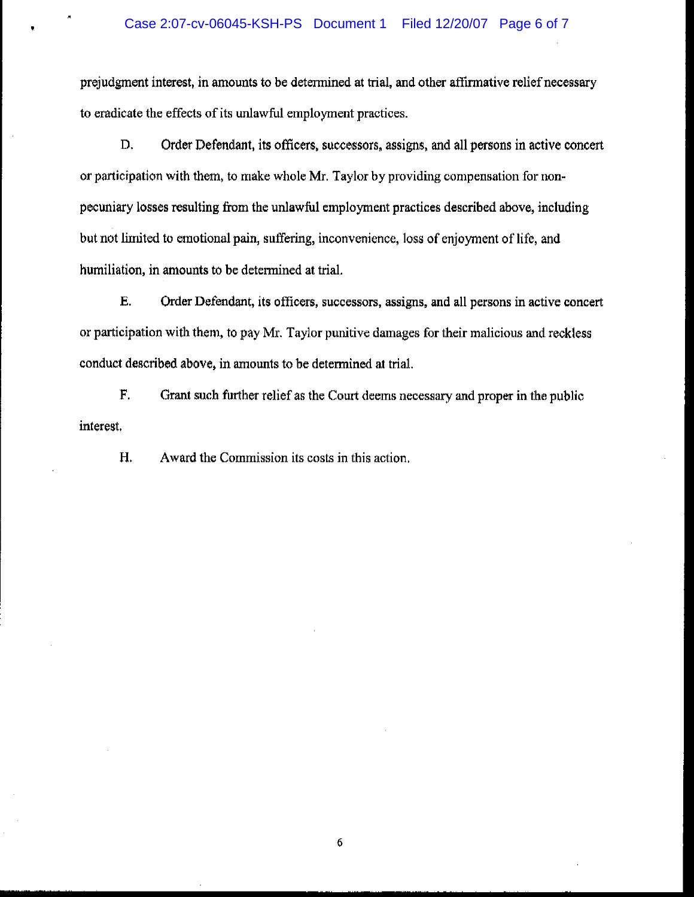#### Case 2:07-cv-06045-KSH-PS Document 1 Filed 12/20/07 Page 6 of 7

prejudgment interest, in amounts to be detennined at trial, and other affirmative relief necessary to eradicate the effects of its unlawful employment practices.

D. Order Defendant, its officers, successors, assigns, and all persons in active concert or participation with thern, to make whole Mr. Taylor by providing compensation for nonpecuniary losses resulting from the unlawful employment practices described above, including but not limited to emotional pain, suffering, inconvenience, loss of enjoyment of life, and humiliation, in amounts to be determined at trial.

E. Order Defendant, its officers, successors, assigns, and all persons in active concert or participation with them, to pay Mr. Taylor punitive damages for their malicious and reckless conduct described above, in amounts to be determined at trial.

F. Grant such further relief as the Court deems necessary and proper in the public interest.

H. Award the Commission its costs in this action.